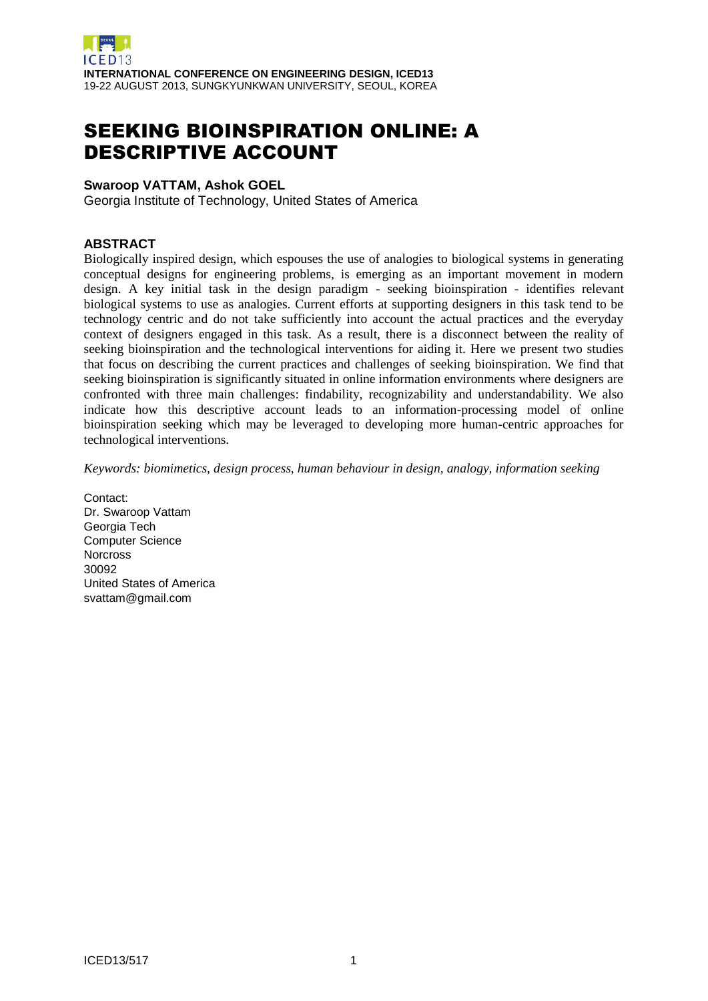# SEEKING BIOINSPIRATION ONLINE: A DESCRIPTIVE ACCOUNT

## **Swaroop VATTAM, Ashok GOEL**

Georgia Institute of Technology, United States of America

## **ABSTRACT**

Biologically inspired design, which espouses the use of analogies to biological systems in generating conceptual designs for engineering problems, is emerging as an important movement in modern design. A key initial task in the design paradigm - seeking bioinspiration - identifies relevant biological systems to use as analogies. Current efforts at supporting designers in this task tend to be technology centric and do not take sufficiently into account the actual practices and the everyday context of designers engaged in this task. As a result, there is a disconnect between the reality of seeking bioinspiration and the technological interventions for aiding it. Here we present two studies that focus on describing the current practices and challenges of seeking bioinspiration. We find that seeking bioinspiration is significantly situated in online information environments where designers are confronted with three main challenges: findability, recognizability and understandability. We also indicate how this descriptive account leads to an information-processing model of online bioinspiration seeking which may be leveraged to developing more human-centric approaches for technological interventions.

*Keywords: biomimetics, design process, human behaviour in design, analogy, information seeking*

Contact: Dr. Swaroop Vattam Georgia Tech Computer Science **Norcross** 30092 United States of America svattam@gmail.com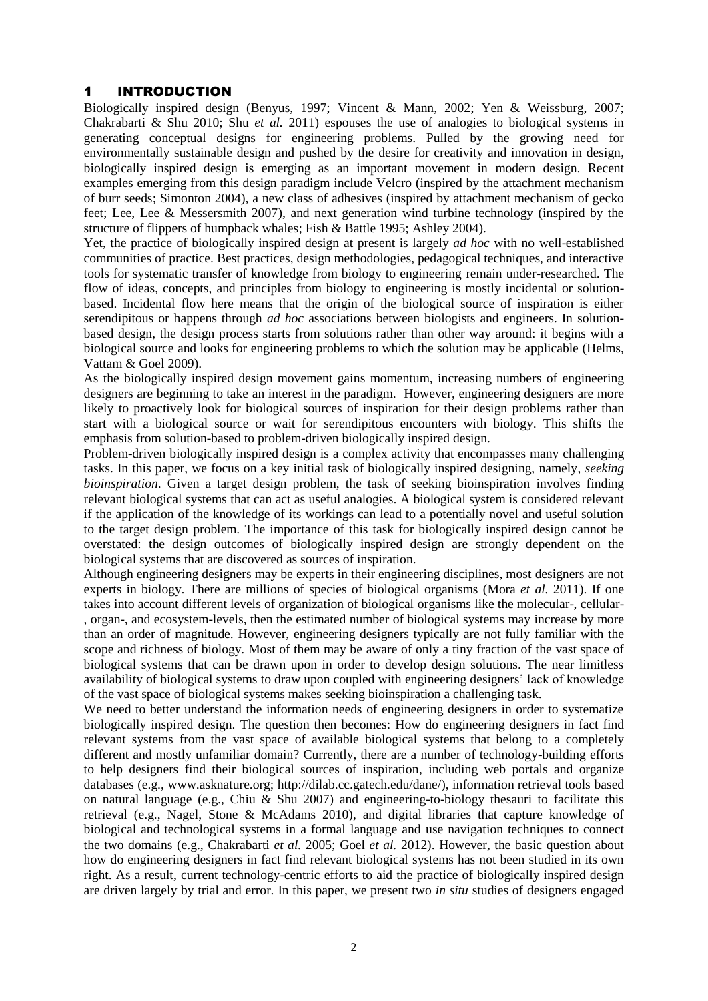## 1 INTRODUCTION

Biologically inspired design (Benyus, 1997; Vincent & Mann, 2002; Yen & Weissburg, 2007; Chakrabarti & Shu 2010; Shu *et al.* 2011) espouses the use of analogies to biological systems in generating conceptual designs for engineering problems. Pulled by the growing need for environmentally sustainable design and pushed by the desire for creativity and innovation in design, biologically inspired design is emerging as an important movement in modern design. Recent examples emerging from this design paradigm include Velcro (inspired by the attachment mechanism of burr seeds; Simonton 2004), a new class of adhesives (inspired by attachment mechanism of gecko feet; Lee, Lee & Messersmith 2007), and next generation wind turbine technology (inspired by the structure of flippers of humpback whales; Fish & Battle 1995; Ashley 2004).

Yet, the practice of biologically inspired design at present is largely *ad hoc* with no well-established communities of practice. Best practices, design methodologies, pedagogical techniques, and interactive tools for systematic transfer of knowledge from biology to engineering remain under-researched. The flow of ideas, concepts, and principles from biology to engineering is mostly incidental or solutionbased. Incidental flow here means that the origin of the biological source of inspiration is either serendipitous or happens through *ad hoc* associations between biologists and engineers. In solutionbased design, the design process starts from solutions rather than other way around: it begins with a biological source and looks for engineering problems to which the solution may be applicable (Helms, Vattam & Goel 2009).

As the biologically inspired design movement gains momentum, increasing numbers of engineering designers are beginning to take an interest in the paradigm. However, engineering designers are more likely to proactively look for biological sources of inspiration for their design problems rather than start with a biological source or wait for serendipitous encounters with biology. This shifts the emphasis from solution-based to problem-driven biologically inspired design.

Problem-driven biologically inspired design is a complex activity that encompasses many challenging tasks. In this paper, we focus on a key initial task of biologically inspired designing, namely, *seeking bioinspiration*. Given a target design problem, the task of seeking bioinspiration involves finding relevant biological systems that can act as useful analogies. A biological system is considered relevant if the application of the knowledge of its workings can lead to a potentially novel and useful solution to the target design problem. The importance of this task for biologically inspired design cannot be overstated: the design outcomes of biologically inspired design are strongly dependent on the biological systems that are discovered as sources of inspiration.

Although engineering designers may be experts in their engineering disciplines, most designers are not experts in biology. There are millions of species of biological organisms (Mora *et al.* 2011). If one takes into account different levels of organization of biological organisms like the molecular-, cellular- , organ-, and ecosystem-levels, then the estimated number of biological systems may increase by more than an order of magnitude. However, engineering designers typically are not fully familiar with the scope and richness of biology. Most of them may be aware of only a tiny fraction of the vast space of biological systems that can be drawn upon in order to develop design solutions. The near limitless availability of biological systems to draw upon coupled with engineering designers' lack of knowledge of the vast space of biological systems makes seeking bioinspiration a challenging task.

We need to better understand the information needs of engineering designers in order to systematize biologically inspired design. The question then becomes: How do engineering designers in fact find relevant systems from the vast space of available biological systems that belong to a completely different and mostly unfamiliar domain? Currently, there are a number of technology-building efforts to help designers find their biological sources of inspiration, including web portals and organize databases (e.g., www.asknature.org; http://dilab.cc.gatech.edu/dane/), information retrieval tools based on natural language (e.g., Chiu & Shu 2007) and engineering-to-biology thesauri to facilitate this retrieval (e.g., Nagel, Stone & McAdams 2010), and digital libraries that capture knowledge of biological and technological systems in a formal language and use navigation techniques to connect the two domains (e.g., Chakrabarti *et al.* 2005; Goel *et al.* 2012). However, the basic question about how do engineering designers in fact find relevant biological systems has not been studied in its own right. As a result, current technology-centric efforts to aid the practice of biologically inspired design are driven largely by trial and error. In this paper, we present two *in situ* studies of designers engaged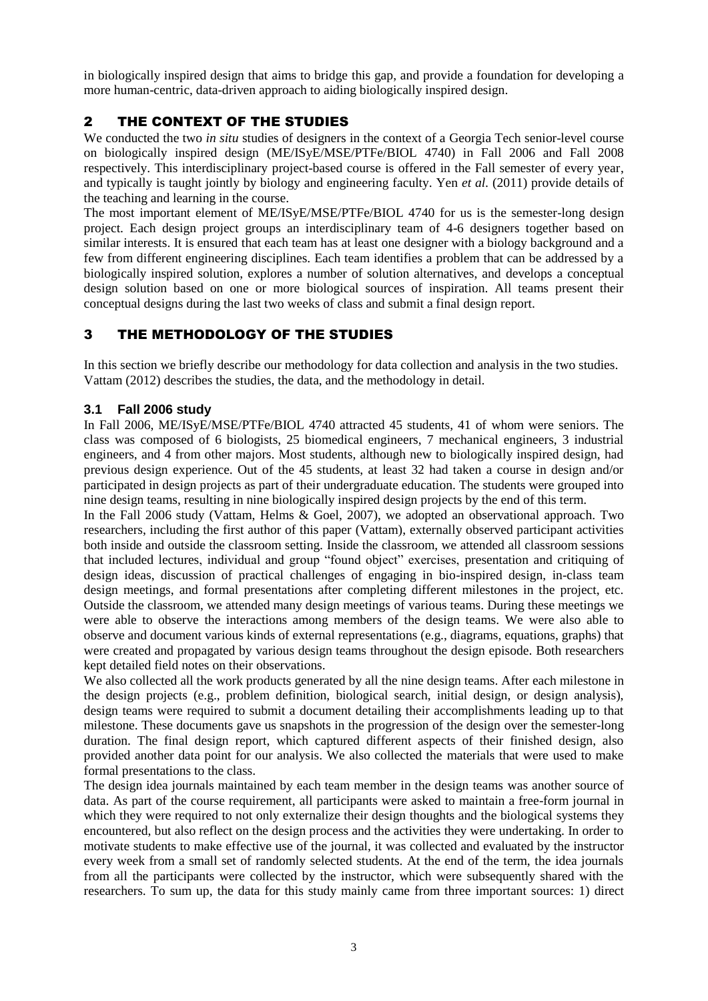in biologically inspired design that aims to bridge this gap, and provide a foundation for developing a more human-centric, data-driven approach to aiding biologically inspired design.

## 2 THE CONTEXT OF THE STUDIES

We conducted the two *in situ* studies of designers in the context of a Georgia Tech senior-level course on biologically inspired design (ME/ISyE/MSE/PTFe/BIOL 4740) in Fall 2006 and Fall 2008 respectively. This interdisciplinary project-based course is offered in the Fall semester of every year, and typically is taught jointly by biology and engineering faculty. Yen *et al.* (2011) provide details of the teaching and learning in the course.

The most important element of ME/ISyE/MSE/PTFe/BIOL 4740 for us is the semester-long design project. Each design project groups an interdisciplinary team of 4-6 designers together based on similar interests. It is ensured that each team has at least one designer with a biology background and a few from different engineering disciplines. Each team identifies a problem that can be addressed by a biologically inspired solution, explores a number of solution alternatives, and develops a conceptual design solution based on one or more biological sources of inspiration. All teams present their conceptual designs during the last two weeks of class and submit a final design report.

# 3 THE METHODOLOGY OF THE STUDIES

In this section we briefly describe our methodology for data collection and analysis in the two studies. Vattam (2012) describes the studies, the data, and the methodology in detail.

## **3.1 Fall 2006 study**

In Fall 2006, ME/ISyE/MSE/PTFe/BIOL 4740 attracted 45 students, 41 of whom were seniors. The class was composed of 6 biologists, 25 biomedical engineers, 7 mechanical engineers, 3 industrial engineers, and 4 from other majors. Most students, although new to biologically inspired design, had previous design experience. Out of the 45 students, at least 32 had taken a course in design and/or participated in design projects as part of their undergraduate education. The students were grouped into nine design teams, resulting in nine biologically inspired design projects by the end of this term.

In the Fall 2006 study (Vattam, Helms & Goel, 2007), we adopted an observational approach. Two researchers, including the first author of this paper (Vattam), externally observed participant activities both inside and outside the classroom setting. Inside the classroom, we attended all classroom sessions that included lectures, individual and group "found object" exercises, presentation and critiquing of design ideas, discussion of practical challenges of engaging in bio-inspired design, in-class team design meetings, and formal presentations after completing different milestones in the project, etc. Outside the classroom, we attended many design meetings of various teams. During these meetings we were able to observe the interactions among members of the design teams. We were also able to observe and document various kinds of external representations (e.g., diagrams, equations, graphs) that were created and propagated by various design teams throughout the design episode. Both researchers kept detailed field notes on their observations.

We also collected all the work products generated by all the nine design teams. After each milestone in the design projects (e.g., problem definition, biological search, initial design, or design analysis), design teams were required to submit a document detailing their accomplishments leading up to that milestone. These documents gave us snapshots in the progression of the design over the semester-long duration. The final design report, which captured different aspects of their finished design, also provided another data point for our analysis. We also collected the materials that were used to make formal presentations to the class.

The design idea journals maintained by each team member in the design teams was another source of data. As part of the course requirement, all participants were asked to maintain a free-form journal in which they were required to not only externalize their design thoughts and the biological systems they encountered, but also reflect on the design process and the activities they were undertaking. In order to motivate students to make effective use of the journal, it was collected and evaluated by the instructor every week from a small set of randomly selected students. At the end of the term, the idea journals from all the participants were collected by the instructor, which were subsequently shared with the researchers. To sum up, the data for this study mainly came from three important sources: 1) direct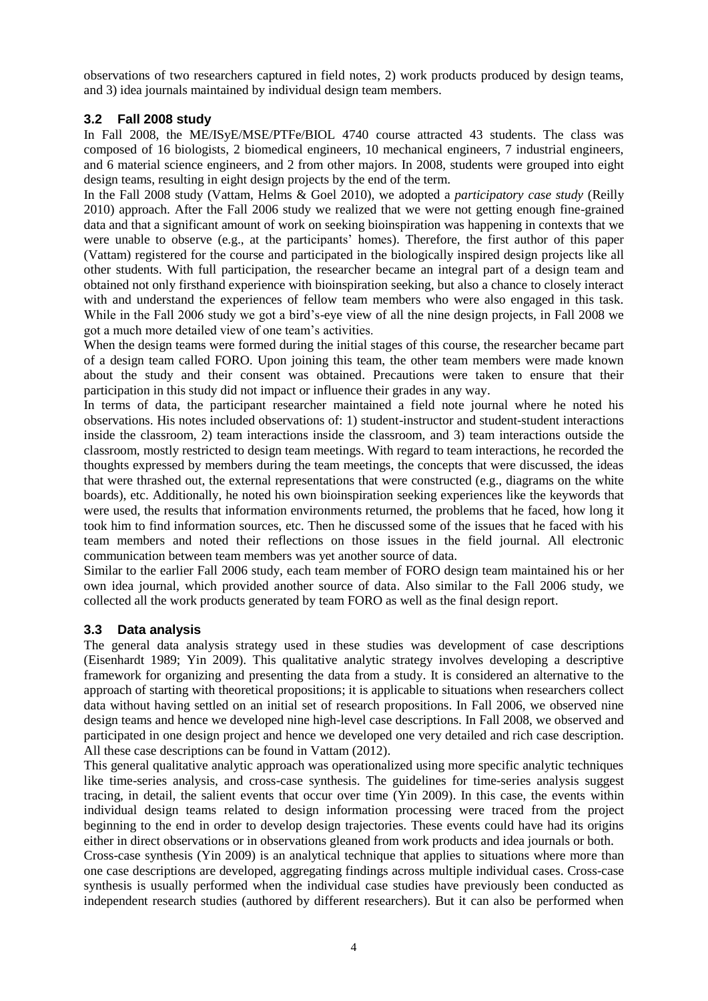observations of two researchers captured in field notes, 2) work products produced by design teams, and 3) idea journals maintained by individual design team members.

## **3.2 Fall 2008 study**

In Fall 2008, the ME/ISyE/MSE/PTFe/BIOL 4740 course attracted 43 students. The class was composed of 16 biologists, 2 biomedical engineers, 10 mechanical engineers, 7 industrial engineers, and 6 material science engineers, and 2 from other majors. In 2008, students were grouped into eight design teams, resulting in eight design projects by the end of the term.

In the Fall 2008 study (Vattam, Helms & Goel 2010), we adopted a *participatory case study* (Reilly 2010) approach. After the Fall 2006 study we realized that we were not getting enough fine-grained data and that a significant amount of work on seeking bioinspiration was happening in contexts that we were unable to observe (e.g., at the participants' homes). Therefore, the first author of this paper (Vattam) registered for the course and participated in the biologically inspired design projects like all other students. With full participation, the researcher became an integral part of a design team and obtained not only firsthand experience with bioinspiration seeking, but also a chance to closely interact with and understand the experiences of fellow team members who were also engaged in this task. While in the Fall 2006 study we got a bird's-eye view of all the nine design projects, in Fall 2008 we got a much more detailed view of one team's activities.

When the design teams were formed during the initial stages of this course, the researcher became part of a design team called FORO. Upon joining this team, the other team members were made known about the study and their consent was obtained. Precautions were taken to ensure that their participation in this study did not impact or influence their grades in any way.

In terms of data, the participant researcher maintained a field note journal where he noted his observations. His notes included observations of: 1) student-instructor and student-student interactions inside the classroom, 2) team interactions inside the classroom, and 3) team interactions outside the classroom, mostly restricted to design team meetings. With regard to team interactions, he recorded the thoughts expressed by members during the team meetings, the concepts that were discussed, the ideas that were thrashed out, the external representations that were constructed (e.g., diagrams on the white boards), etc. Additionally, he noted his own bioinspiration seeking experiences like the keywords that were used, the results that information environments returned, the problems that he faced, how long it took him to find information sources, etc. Then he discussed some of the issues that he faced with his team members and noted their reflections on those issues in the field journal. All electronic communication between team members was yet another source of data.

Similar to the earlier Fall 2006 study, each team member of FORO design team maintained his or her own idea journal, which provided another source of data. Also similar to the Fall 2006 study, we collected all the work products generated by team FORO as well as the final design report.

## **3.3 Data analysis**

The general data analysis strategy used in these studies was development of case descriptions (Eisenhardt 1989; Yin 2009). This qualitative analytic strategy involves developing a descriptive framework for organizing and presenting the data from a study. It is considered an alternative to the approach of starting with theoretical propositions; it is applicable to situations when researchers collect data without having settled on an initial set of research propositions. In Fall 2006, we observed nine design teams and hence we developed nine high-level case descriptions. In Fall 2008, we observed and participated in one design project and hence we developed one very detailed and rich case description. All these case descriptions can be found in Vattam (2012).

This general qualitative analytic approach was operationalized using more specific analytic techniques like time-series analysis, and cross-case synthesis. The guidelines for time-series analysis suggest tracing, in detail, the salient events that occur over time (Yin 2009). In this case, the events within individual design teams related to design information processing were traced from the project beginning to the end in order to develop design trajectories. These events could have had its origins either in direct observations or in observations gleaned from work products and idea journals or both.

Cross-case synthesis (Yin 2009) is an analytical technique that applies to situations where more than one case descriptions are developed, aggregating findings across multiple individual cases. Cross-case synthesis is usually performed when the individual case studies have previously been conducted as independent research studies (authored by different researchers). But it can also be performed when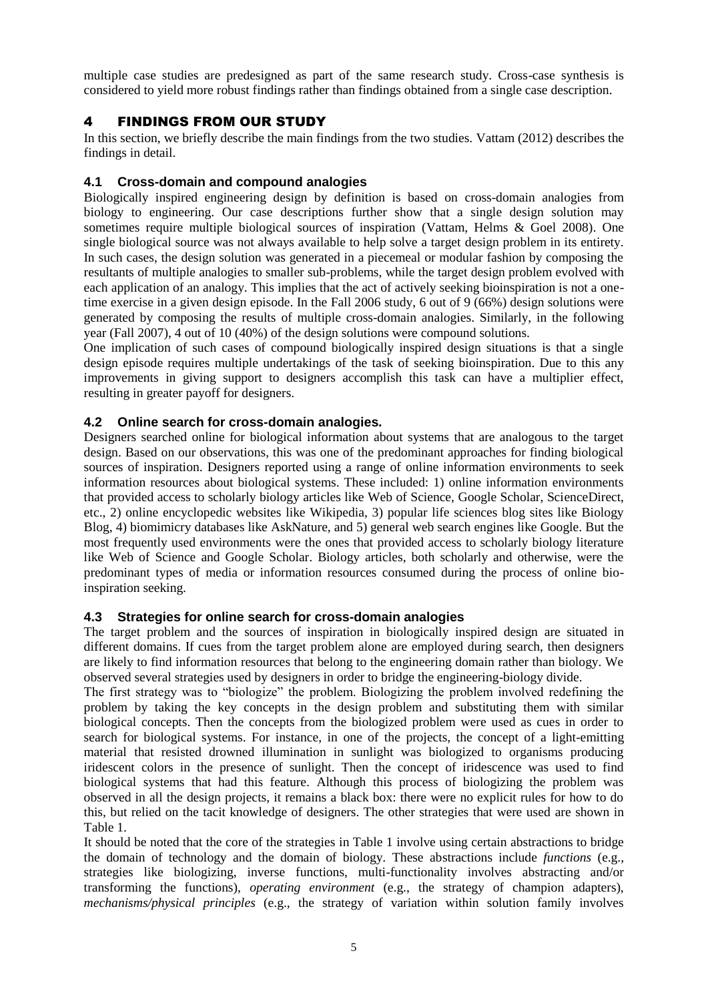multiple case studies are predesigned as part of the same research study. Cross-case synthesis is considered to yield more robust findings rather than findings obtained from a single case description.

## 4 FINDINGS FROM OUR STUDY

In this section, we briefly describe the main findings from the two studies. Vattam (2012) describes the findings in detail.

## **4.1 Cross-domain and compound analogies**

Biologically inspired engineering design by definition is based on cross-domain analogies from biology to engineering. Our case descriptions further show that a single design solution may sometimes require multiple biological sources of inspiration (Vattam, Helms & Goel 2008). One single biological source was not always available to help solve a target design problem in its entirety. In such cases, the design solution was generated in a piecemeal or modular fashion by composing the resultants of multiple analogies to smaller sub-problems, while the target design problem evolved with each application of an analogy. This implies that the act of actively seeking bioinspiration is not a onetime exercise in a given design episode. In the Fall 2006 study, 6 out of 9 (66%) design solutions were generated by composing the results of multiple cross-domain analogies. Similarly, in the following year (Fall 2007), 4 out of 10 (40%) of the design solutions were compound solutions.

One implication of such cases of compound biologically inspired design situations is that a single design episode requires multiple undertakings of the task of seeking bioinspiration. Due to this any improvements in giving support to designers accomplish this task can have a multiplier effect, resulting in greater payoff for designers.

#### **4.2 Online search for cross-domain analogies.**

Designers searched online for biological information about systems that are analogous to the target design. Based on our observations, this was one of the predominant approaches for finding biological sources of inspiration. Designers reported using a range of online information environments to seek information resources about biological systems. These included: 1) online information environments that provided access to scholarly biology articles like Web of Science, Google Scholar, ScienceDirect, etc., 2) online encyclopedic websites like Wikipedia, 3) popular life sciences blog sites like Biology Blog, 4) biomimicry databases like AskNature, and 5) general web search engines like Google. But the most frequently used environments were the ones that provided access to scholarly biology literature like Web of Science and Google Scholar. Biology articles, both scholarly and otherwise, were the predominant types of media or information resources consumed during the process of online bioinspiration seeking.

## **4.3 Strategies for online search for cross-domain analogies**

The target problem and the sources of inspiration in biologically inspired design are situated in different domains. If cues from the target problem alone are employed during search, then designers are likely to find information resources that belong to the engineering domain rather than biology. We observed several strategies used by designers in order to bridge the engineering-biology divide.

The first strategy was to "biologize" the problem. Biologizing the problem involved redefining the problem by taking the key concepts in the design problem and substituting them with similar biological concepts. Then the concepts from the biologized problem were used as cues in order to search for biological systems. For instance, in one of the projects, the concept of a light-emitting material that resisted drowned illumination in sunlight was biologized to organisms producing iridescent colors in the presence of sunlight. Then the concept of iridescence was used to find biological systems that had this feature. Although this process of biologizing the problem was observed in all the design projects, it remains a black box: there were no explicit rules for how to do this, but relied on the tacit knowledge of designers. The other strategies that were used are shown in Table 1.

It should be noted that the core of the strategies in Table 1 involve using certain abstractions to bridge the domain of technology and the domain of biology. These abstractions include *functions* (e.g., strategies like biologizing, inverse functions, multi-functionality involves abstracting and/or transforming the functions), *operating environment* (e.g., the strategy of champion adapters), *mechanisms/physical principles* (e.g., the strategy of variation within solution family involves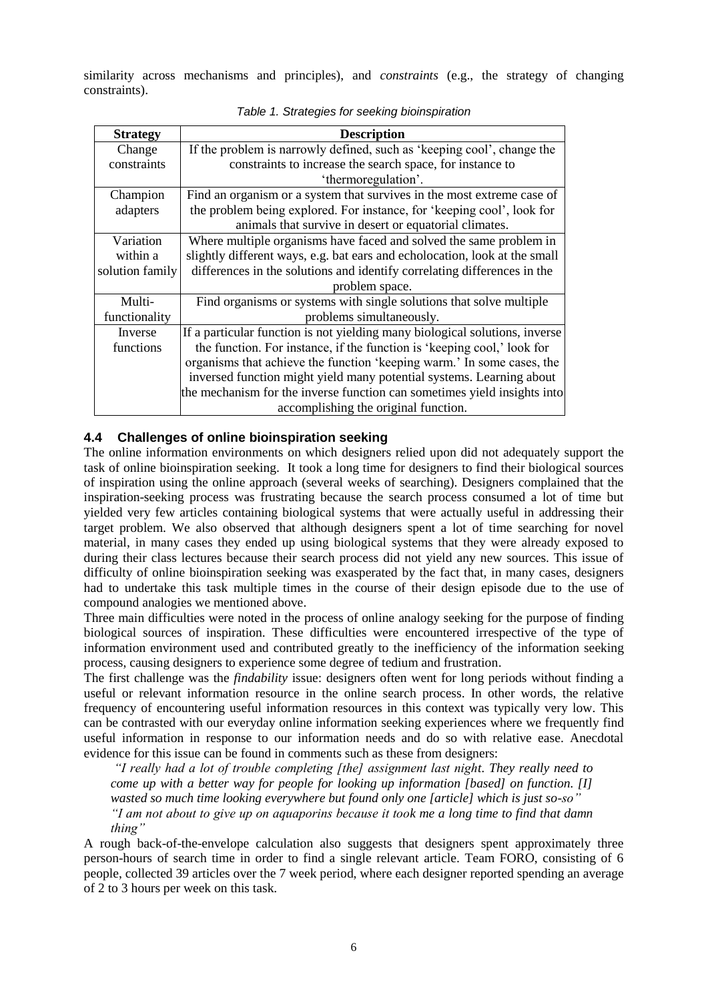similarity across mechanisms and principles), and *constraints* (e.g., the strategy of changing constraints).

| <b>Strategy</b> | <b>Description</b>                                                          |
|-----------------|-----------------------------------------------------------------------------|
| Change          | If the problem is narrowly defined, such as 'keeping cool', change the      |
| constraints     | constraints to increase the search space, for instance to                   |
|                 | 'thermoregulation'.                                                         |
| Champion        | Find an organism or a system that survives in the most extreme case of      |
| adapters        | the problem being explored. For instance, for 'keeping cool', look for      |
|                 | animals that survive in desert or equatorial climates.                      |
| Variation       | Where multiple organisms have faced and solved the same problem in          |
| within a        | slightly different ways, e.g. bat ears and echolocation, look at the small  |
| solution family | differences in the solutions and identify correlating differences in the    |
|                 | problem space.                                                              |
| Multi-          | Find organisms or systems with single solutions that solve multiple         |
| functionality   | problems simultaneously.                                                    |
| Inverse         | If a particular function is not yielding many biological solutions, inverse |
| functions       | the function. For instance, if the function is 'keeping cool,' look for     |
|                 | organisms that achieve the function 'keeping warm.' In some cases, the      |
|                 | inversed function might yield many potential systems. Learning about        |
|                 | the mechanism for the inverse function can sometimes yield insights into    |
|                 | accomplishing the original function.                                        |

*Table 1. Strategies for seeking bioinspiration*

#### **4.4 Challenges of online bioinspiration seeking**

The online information environments on which designers relied upon did not adequately support the task of online bioinspiration seeking. It took a long time for designers to find their biological sources of inspiration using the online approach (several weeks of searching). Designers complained that the inspiration-seeking process was frustrating because the search process consumed a lot of time but yielded very few articles containing biological systems that were actually useful in addressing their target problem. We also observed that although designers spent a lot of time searching for novel material, in many cases they ended up using biological systems that they were already exposed to during their class lectures because their search process did not yield any new sources. This issue of difficulty of online bioinspiration seeking was exasperated by the fact that, in many cases, designers had to undertake this task multiple times in the course of their design episode due to the use of compound analogies we mentioned above.

Three main difficulties were noted in the process of online analogy seeking for the purpose of finding biological sources of inspiration. These difficulties were encountered irrespective of the type of information environment used and contributed greatly to the inefficiency of the information seeking process, causing designers to experience some degree of tedium and frustration.

The first challenge was the *findability* issue: designers often went for long periods without finding a useful or relevant information resource in the online search process. In other words, the relative frequency of encountering useful information resources in this context was typically very low. This can be contrasted with our everyday online information seeking experiences where we frequently find useful information in response to our information needs and do so with relative ease. Anecdotal evidence for this issue can be found in comments such as these from designers:

*"I really had a lot of trouble completing [the] assignment last night. They really need to come up with a better way for people for looking up information [based] on function. [I] wasted so much time looking everywhere but found only one [article] which is just so-so" "I am not about to give up on aquaporins because it took me a long time to find that damn thing"* 

A rough back-of-the-envelope calculation also suggests that designers spent approximately three person-hours of search time in order to find a single relevant article. Team FORO, consisting of 6 people, collected 39 articles over the 7 week period, where each designer reported spending an average of 2 to 3 hours per week on this task.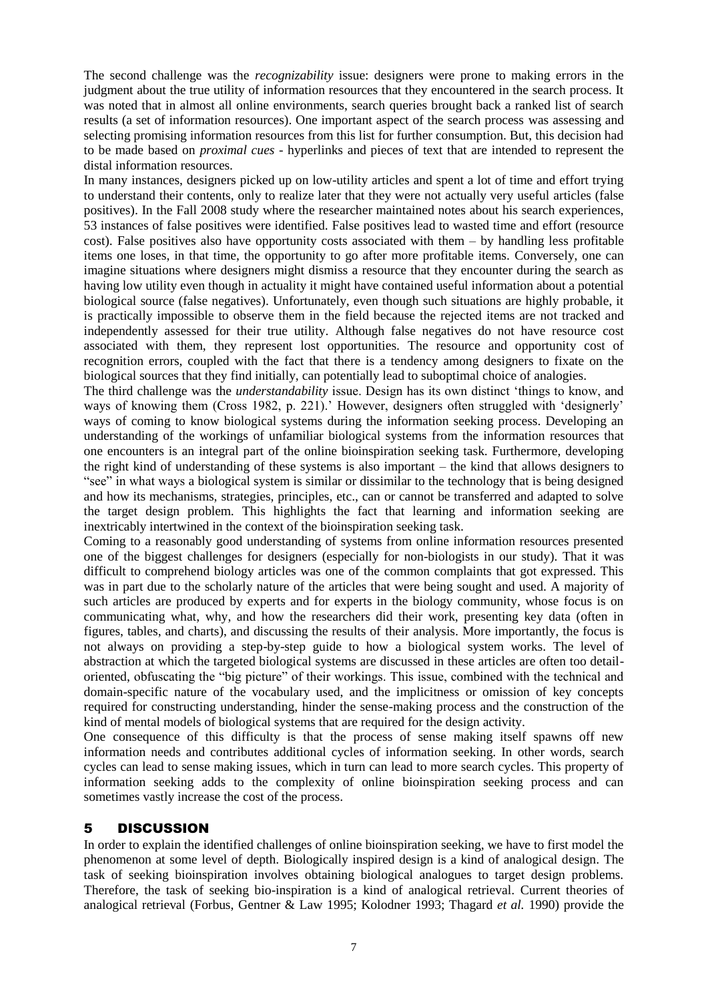The second challenge was the *recognizability* issue: designers were prone to making errors in the judgment about the true utility of information resources that they encountered in the search process. It was noted that in almost all online environments, search queries brought back a ranked list of search results (a set of information resources). One important aspect of the search process was assessing and selecting promising information resources from this list for further consumption. But, this decision had to be made based on *proximal cues* - hyperlinks and pieces of text that are intended to represent the distal information resources.

In many instances, designers picked up on low-utility articles and spent a lot of time and effort trying to understand their contents, only to realize later that they were not actually very useful articles (false positives). In the Fall 2008 study where the researcher maintained notes about his search experiences, 53 instances of false positives were identified. False positives lead to wasted time and effort (resource cost). False positives also have opportunity costs associated with them – by handling less profitable items one loses, in that time, the opportunity to go after more profitable items. Conversely, one can imagine situations where designers might dismiss a resource that they encounter during the search as having low utility even though in actuality it might have contained useful information about a potential biological source (false negatives). Unfortunately, even though such situations are highly probable, it is practically impossible to observe them in the field because the rejected items are not tracked and independently assessed for their true utility. Although false negatives do not have resource cost associated with them, they represent lost opportunities. The resource and opportunity cost of recognition errors, coupled with the fact that there is a tendency among designers to fixate on the biological sources that they find initially, can potentially lead to suboptimal choice of analogies.

The third challenge was the *understandability* issue. Design has its own distinct 'things to know, and ways of knowing them (Cross 1982, p. 221).' However, designers often struggled with 'designerly' ways of coming to know biological systems during the information seeking process. Developing an understanding of the workings of unfamiliar biological systems from the information resources that one encounters is an integral part of the online bioinspiration seeking task. Furthermore, developing the right kind of understanding of these systems is also important – the kind that allows designers to "see" in what ways a biological system is similar or dissimilar to the technology that is being designed and how its mechanisms, strategies, principles, etc., can or cannot be transferred and adapted to solve the target design problem. This highlights the fact that learning and information seeking are inextricably intertwined in the context of the bioinspiration seeking task.

Coming to a reasonably good understanding of systems from online information resources presented one of the biggest challenges for designers (especially for non-biologists in our study). That it was difficult to comprehend biology articles was one of the common complaints that got expressed. This was in part due to the scholarly nature of the articles that were being sought and used. A majority of such articles are produced by experts and for experts in the biology community, whose focus is on communicating what, why, and how the researchers did their work, presenting key data (often in figures, tables, and charts), and discussing the results of their analysis. More importantly, the focus is not always on providing a step-by-step guide to how a biological system works. The level of abstraction at which the targeted biological systems are discussed in these articles are often too detailoriented, obfuscating the "big picture" of their workings. This issue, combined with the technical and domain-specific nature of the vocabulary used, and the implicitness or omission of key concepts required for constructing understanding, hinder the sense-making process and the construction of the kind of mental models of biological systems that are required for the design activity.

One consequence of this difficulty is that the process of sense making itself spawns off new information needs and contributes additional cycles of information seeking. In other words, search cycles can lead to sense making issues, which in turn can lead to more search cycles. This property of information seeking adds to the complexity of online bioinspiration seeking process and can sometimes vastly increase the cost of the process.

## 5 DISCUSSION

In order to explain the identified challenges of online bioinspiration seeking, we have to first model the phenomenon at some level of depth. Biologically inspired design is a kind of analogical design. The task of seeking bioinspiration involves obtaining biological analogues to target design problems. Therefore, the task of seeking bio-inspiration is a kind of analogical retrieval. Current theories of analogical retrieval (Forbus, Gentner & Law 1995; Kolodner 1993; Thagard *et al.* 1990) provide the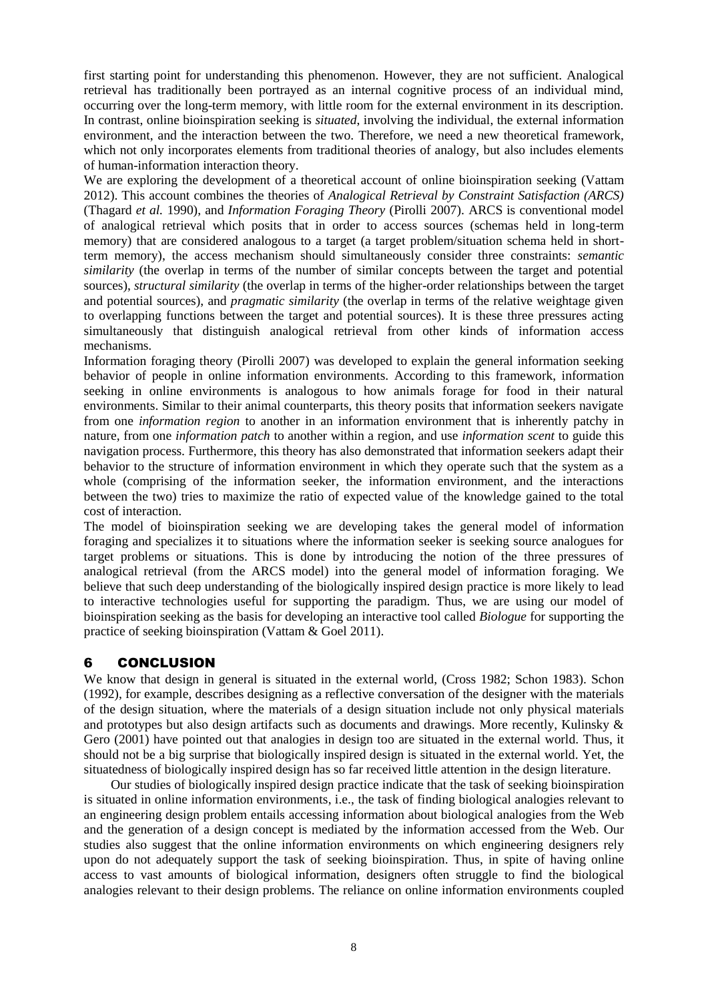first starting point for understanding this phenomenon. However, they are not sufficient. Analogical retrieval has traditionally been portrayed as an internal cognitive process of an individual mind, occurring over the long-term memory, with little room for the external environment in its description. In contrast, online bioinspiration seeking is *situated*, involving the individual, the external information environment, and the interaction between the two. Therefore, we need a new theoretical framework, which not only incorporates elements from traditional theories of analogy, but also includes elements of human-information interaction theory.

We are exploring the development of a theoretical account of online bioinspiration seeking (Vattam 2012). This account combines the theories of *Analogical Retrieval by Constraint Satisfaction (ARCS)* (Thagard *et al.* 1990), and *Information Foraging Theory* (Pirolli 2007). ARCS is conventional model of analogical retrieval which posits that in order to access sources (schemas held in long-term memory) that are considered analogous to a target (a target problem/situation schema held in shortterm memory), the access mechanism should simultaneously consider three constraints: *semantic similarity* (the overlap in terms of the number of similar concepts between the target and potential sources), *structural similarity* (the overlap in terms of the higher-order relationships between the target and potential sources), and *pragmatic similarity* (the overlap in terms of the relative weightage given to overlapping functions between the target and potential sources). It is these three pressures acting simultaneously that distinguish analogical retrieval from other kinds of information access mechanisms.

Information foraging theory (Pirolli 2007) was developed to explain the general information seeking behavior of people in online information environments. According to this framework, information seeking in online environments is analogous to how animals forage for food in their natural environments. Similar to their animal counterparts, this theory posits that information seekers navigate from one *information region* to another in an information environment that is inherently patchy in nature, from one *information patch* to another within a region, and use *information scent* to guide this navigation process. Furthermore, this theory has also demonstrated that information seekers adapt their behavior to the structure of information environment in which they operate such that the system as a whole (comprising of the information seeker, the information environment, and the interactions between the two) tries to maximize the ratio of expected value of the knowledge gained to the total cost of interaction.

The model of bioinspiration seeking we are developing takes the general model of information foraging and specializes it to situations where the information seeker is seeking source analogues for target problems or situations. This is done by introducing the notion of the three pressures of analogical retrieval (from the ARCS model) into the general model of information foraging. We believe that such deep understanding of the biologically inspired design practice is more likely to lead to interactive technologies useful for supporting the paradigm. Thus, we are using our model of bioinspiration seeking as the basis for developing an interactive tool called *Biologue* for supporting the practice of seeking bioinspiration (Vattam & Goel 2011).

## 6 CONCLUSION

We know that design in general is situated in the external world, (Cross 1982; Schon 1983). Schon (1992), for example, describes designing as a reflective conversation of the designer with the materials of the design situation, where the materials of a design situation include not only physical materials and prototypes but also design artifacts such as documents and drawings. More recently, Kulinsky & Gero (2001) have pointed out that analogies in design too are situated in the external world. Thus, it should not be a big surprise that biologically inspired design is situated in the external world. Yet, the situatedness of biologically inspired design has so far received little attention in the design literature.

Our studies of biologically inspired design practice indicate that the task of seeking bioinspiration is situated in online information environments, i.e., the task of finding biological analogies relevant to an engineering design problem entails accessing information about biological analogies from the Web and the generation of a design concept is mediated by the information accessed from the Web. Our studies also suggest that the online information environments on which engineering designers rely upon do not adequately support the task of seeking bioinspiration. Thus, in spite of having online access to vast amounts of biological information, designers often struggle to find the biological analogies relevant to their design problems. The reliance on online information environments coupled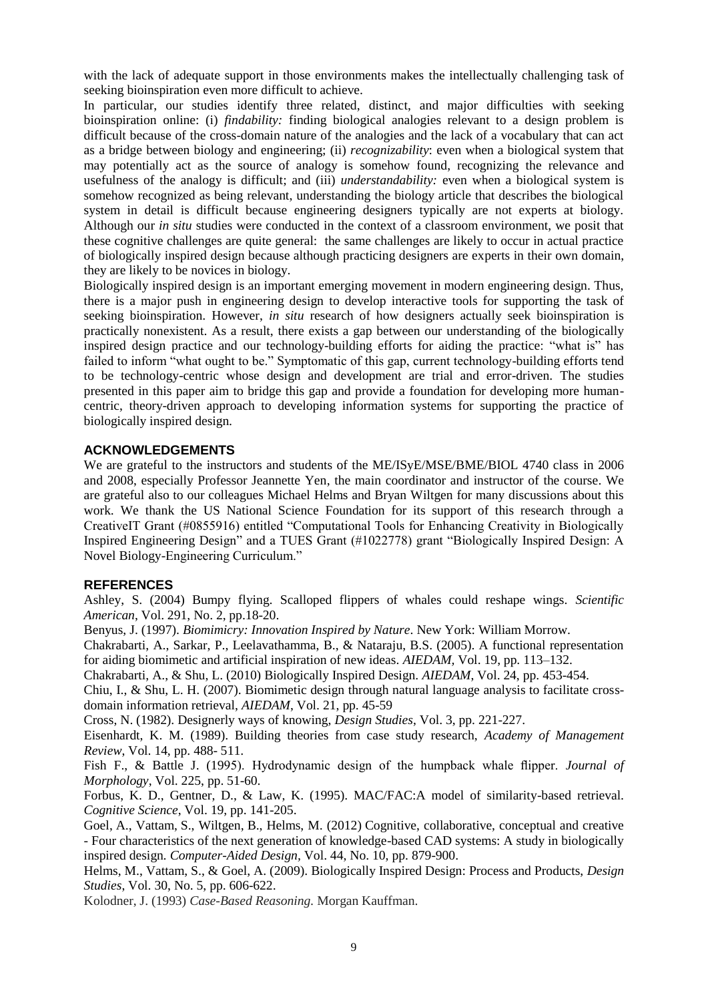with the lack of adequate support in those environments makes the intellectually challenging task of seeking bioinspiration even more difficult to achieve.

In particular, our studies identify three related, distinct, and major difficulties with seeking bioinspiration online: (i) *findability:* finding biological analogies relevant to a design problem is difficult because of the cross-domain nature of the analogies and the lack of a vocabulary that can act as a bridge between biology and engineering; (ii) *recognizability*: even when a biological system that may potentially act as the source of analogy is somehow found, recognizing the relevance and usefulness of the analogy is difficult; and (iii) *understandability:* even when a biological system is somehow recognized as being relevant, understanding the biology article that describes the biological system in detail is difficult because engineering designers typically are not experts at biology. Although our *in situ* studies were conducted in the context of a classroom environment, we posit that these cognitive challenges are quite general: the same challenges are likely to occur in actual practice of biologically inspired design because although practicing designers are experts in their own domain, they are likely to be novices in biology.

Biologically inspired design is an important emerging movement in modern engineering design. Thus, there is a major push in engineering design to develop interactive tools for supporting the task of seeking bioinspiration. However, *in situ* research of how designers actually seek bioinspiration is practically nonexistent. As a result, there exists a gap between our understanding of the biologically inspired design practice and our technology-building efforts for aiding the practice: "what is" has failed to inform "what ought to be." Symptomatic of this gap, current technology-building efforts tend to be technology-centric whose design and development are trial and error-driven. The studies presented in this paper aim to bridge this gap and provide a foundation for developing more humancentric, theory-driven approach to developing information systems for supporting the practice of biologically inspired design.

## **ACKNOWLEDGEMENTS**

We are grateful to the instructors and students of the ME/ISyE/MSE/BME/BIOL 4740 class in 2006 and 2008, especially Professor Jeannette Yen, the main coordinator and instructor of the course. We are grateful also to our colleagues Michael Helms and Bryan Wiltgen for many discussions about this work. We thank the US National Science Foundation for its support of this research through a CreativeIT Grant (#0855916) entitled "Computational Tools for Enhancing Creativity in Biologically Inspired Engineering Design" and a TUES Grant (#1022778) grant "Biologically Inspired Design: A Novel Biology-Engineering Curriculum."

#### **REFERENCES**

Ashley, S. (2004) Bumpy flying. Scalloped flippers of whales could reshape wings. *Scientific American*, Vol. 291, No. 2, pp.18-20.

Benyus, J. (1997). *Biomimicry: Innovation Inspired by Nature*. New York: William Morrow.

Chakrabarti, A., Sarkar, P., Leelavathamma, B., & Nataraju, B.S. (2005). A functional representation for aiding biomimetic and artificial inspiration of new ideas. *AIEDAM,* Vol. 19, pp. 113–132.

Chakrabarti, A., & Shu, L. (2010) Biologically Inspired Design. *AIEDAM*, Vol. 24, pp. 453-454*.*

Chiu, I., & Shu, L. H. (2007). Biomimetic design through natural language analysis to facilitate crossdomain information retrieval, *AIEDAM*, Vol. 21, pp. 45-59

Cross, N. (1982). Designerly ways of knowing, *Design Studies*, Vol. 3, pp. 221-227.

Eisenhardt, K. M. (1989). Building theories from case study research, *Academy of Management Review*, Vol. 14, pp. 488- 511.

Fish F., & Battle J. (1995). Hydrodynamic design of the humpback whale flipper. *Journal of Morphology*, Vol. 225, pp. 51-60.

Forbus, K. D., Gentner, D., & Law, K. (1995). MAC/FAC:A model of similarity-based retrieval. *Cognitive Science*, Vol. 19, pp. 141-205.

Goel, A., [Vattam,](http://www.informatik.uni-trier.de/~ley/pers/hd/v/Vattam:Swaroop.html) S., [Wiltgen,](http://www.informatik.uni-trier.de/~ley/pers/hd/w/Wiltgen:Bryan.html) B., [Helms,](http://www.informatik.uni-trier.de/~ley/pers/hd/h/Helms:Michael_E=.html) M. (2012) Cognitive, collaborative, conceptual and creative - Four characteristics of the next generation of knowledge-based CAD systems: A study in biologically inspired design*. [Computer-Aided Design,](http://www.informatik.uni-trier.de/~ley/db/journals/cad/cad44.html#GoelVWH12)* Vol. 44, No. 10, pp. 879-900.

Helms, M., Vattam, S., & Goel, A. (2009). Biologically Inspired Design: Process and Products, *Design Studies*, Vol. 30, No. 5, pp. 606-622.

Kolodner, J. (1993) *Case-Based Reasoning.* Morgan Kauffman.